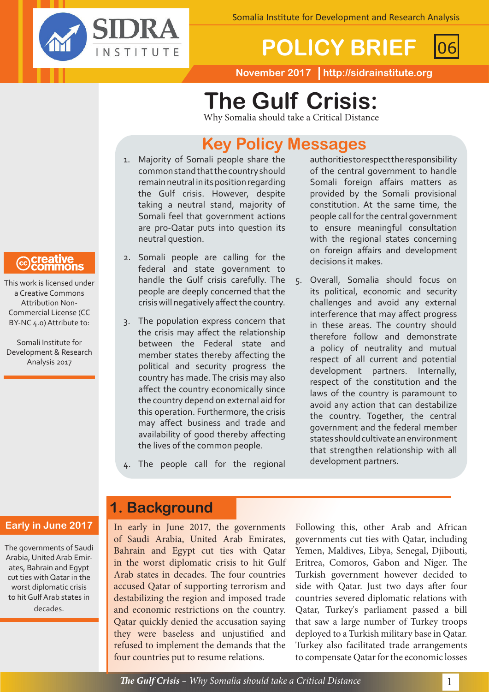

# **POLICY BRIEF** 06

**November 2017 http://sidrainstitute.org**

# **The Gulf Crisis:**

Why Somalia should take a Critical Distance

# **Key Policy Messages**

- 1. Majority of Somali people share the common stand that the country should remain neutral in its position regarding the Gulf crisis. However, despite taking a neutral stand, majority of Somali feel that government actions are pro-Qatar puts into question its neutral question.
- 2. Somali people are calling for the federal and state government to handle the Gulf crisis carefully. The people are deeply concerned that the crisis will negatively affect the country.
- 3. The population express concern that the crisis may affect the relationship between the Federal state and member states thereby affecting the political and security progress the country has made. The crisis may also affect the country economically since the country depend on external aid for this operation. Furthermore, the crisis may affect business and trade and availability of good thereby affecting the lives of the common people.
- 4. The people call for the regional
- authorities to respect the responsibility of the central government to handle Somali foreign affairs matters as provided by the Somali provisional constitution. At the same time, the people call for the central government to ensure meaningful consultation with the regional states concerning on foreign affairs and development decisions it makes.
- 5. Overall, Somalia should focus on its political, economic and security challenges and avoid any external interference that may affect progress in these areas. The country should therefore follow and demonstrate a policy of neutrality and mutual respect of all current and potential development partners. Internally, respect of the constitution and the laws of the country is paramount to avoid any action that can destabilize the country. Together, the central government and the federal member states should cultivate an environment that strengthen relationship with all development partners.

## **Early in June 2017**

The governments of Saudi Arabia, United Arab Emirates, Bahrain and Egypt cut ties with Qatar in the worst diplomatic crisis to hit Gulf Arab states in decades.

## **1. Background**

In early in June 2017, the governments of Saudi Arabia, United Arab Emirates, Bahrain and Egypt cut ties with Qatar in the worst diplomatic crisis to hit Gulf Arab states in decades. The four countries accused Qatar of supporting terrorism and destabilizing the region and imposed trade and economic restrictions on the country. Qatar quickly denied the accusation saying they were baseless and unjustified and refused to implement the demands that the four countries put to resume relations.

Following this, other Arab and African governments cut ties with Qatar, including Yemen, Maldives, Libya, Senegal, Djibouti, Eritrea, Comoros, Gabon and Niger. The Turkish government however decided to side with Qatar. Just two days after four countries severed diplomatic relations with Qatar, Turkey's parliament passed a bill that saw a large number of Turkey troops deployed to a Turkish military base in Qatar. Turkey also facilitated trade arrangements to compensate Qatar for the economic losses

**@**Creative<br>©Commons

This work is licensed under a Creative Commons Attribution Non-Commercial License (CC BY-NC 4.0) Attribute to:

Somali Institute for Development & Research Analysis 2017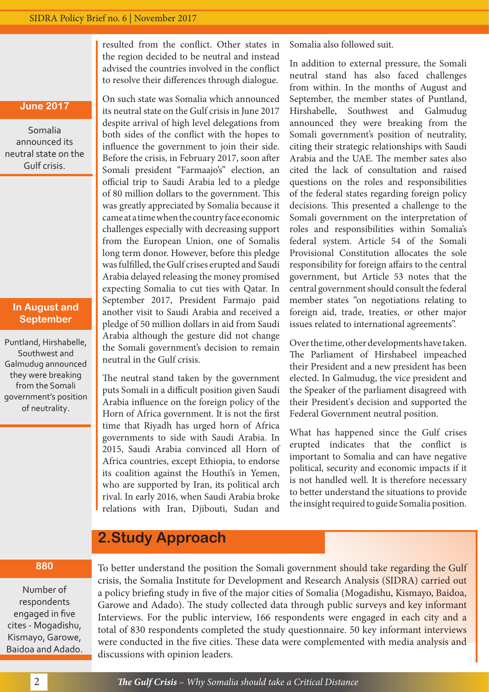resulted from the conflict. Other states in the region decided to be neutral and instead advised the countries involved in the conflict to resolve their differences through dialogue.

#### **June 2017**

Somalia announced its neutral state on the Gulf crisis.

#### **In August and September**

Puntland, Hirshabelle, Southwest and Galmudug announced they were breaking from the Somali government's position of neutrality.

On such state was Somalia which announced its neutral state on the Gulf crisis in June 2017 despite arrival of high level delegations from both sides of the conflict with the hopes to influence the government to join their side. Before the crisis, in February 2017, soon after Somali president "Farmaajo's" election, an official trip to Saudi Arabia led to a pledge of 80 million dollars to the government. This was greatly appreciated by Somalia because it came at a time when the country face economic challenges especially with decreasing support from the European Union, one of Somalis long term donor. However, before this pledge was fulfilled, the Gulf crises erupted and Saudi Arabia delayed releasing the money promised expecting Somalia to cut ties with Qatar. In September 2017, President Farmajo paid another visit to Saudi Arabia and received a pledge of 50 million dollars in aid from Saudi Arabia although the gesture did not change the Somali government's decision to remain neutral in the Gulf crisis.

The neutral stand taken by the government puts Somali in a difficult position given Saudi Arabia influence on the foreign policy of the Horn of Africa government. It is not the first time that Riyadh has urged horn of Africa governments to side with Saudi Arabia. In 2015, Saudi Arabia convinced all Horn of Africa countries, except Ethiopia, to endorse its coalition against the Houthi's in Yemen, who are supported by Iran, its political arch rival. In early 2016, when Saudi Arabia broke relations with Iran, Djibouti, Sudan and

Somalia also followed suit.

In addition to external pressure, the Somali neutral stand has also faced challenges from within. In the months of August and September, the member states of Puntland, Hirshabelle, Southwest and Galmudug announced they were breaking from the Somali government's position of neutrality, citing their strategic relationships with Saudi Arabia and the UAE. The member sates also cited the lack of consultation and raised questions on the roles and responsibilities of the federal states regarding foreign policy decisions. This presented a challenge to the Somali government on the interpretation of roles and responsibilities within Somalia's federal system. Article 54 of the Somali Provisional Constitution allocates the sole responsibility for foreign affairs to the central government, but Article 53 notes that the central government should consult the federal member states "on negotiations relating to foreign aid, trade, treaties, or other major issues related to international agreements".

Over the time, other developments have taken. The Parliament of Hirshabeel impeached their President and a new president has been elected. In Galmudug, the vice president and the Speaker of the parliament disagreed with their President's decision and supported the Federal Government neutral position.

What has happened since the Gulf crises erupted indicates that the conflict is important to Somalia and can have negative political, security and economic impacts if it is not handled well. It is therefore necessary to better understand the situations to provide the insight required to guide Somalia position.

## **2.Study Approach**

#### **880**

Number of respondents engaged in five cites - Mogadishu, Kismayo, Garowe, Baidoa and Adado. To better understand the position the Somali government should take regarding the Gulf crisis, the Somalia Institute for Development and Research Analysis (SIDRA) carried out a policy briefing study in five of the major cities of Somalia (Mogadishu, Kismayo, Baidoa, Garowe and Adado). The study collected data through public surveys and key informant Interviews. For the public interview, 166 respondents were engaged in each city and a total of 830 respondents completed the study questionnaire. 50 key informant interviews were conducted in the five cities. These data were complemented with media analysis and discussions with opinion leaders.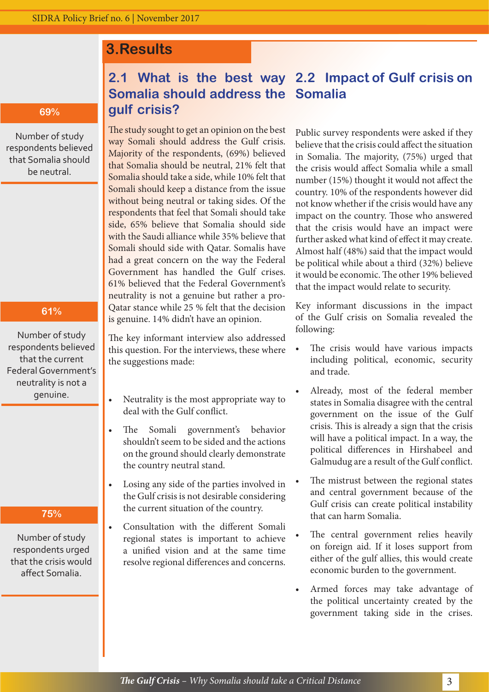## **3.Results**

#### **69%**

Number of study respondents believed that Somalia should be neutral.

### **61%**

Number of study respondents believed that the current Federal Government's neutrality is not a genuine.

#### **75%**

Number of study respondents urged that the crisis would affect Somalia.

## **2.1 What is the best way 2.2 Impact of Gulf crisis on Somalia should address the Somalia gulf crisis?**

The study sought to get an opinion on the best way Somali should address the Gulf crisis. Majority of the respondents, (69%) believed that Somalia should be neutral, 21% felt that Somalia should take a side, while 10% felt that Somali should keep a distance from the issue without being neutral or taking sides. Of the respondents that feel that Somali should take side, 65% believe that Somalia should side with the Saudi alliance while 35% believe that Somali should side with Qatar. Somalis have had a great concern on the way the Federal Government has handled the Gulf crises. 61% believed that the Federal Government's neutrality is not a genuine but rather a pro-Qatar stance while 25 % felt that the decision is genuine. 14% didn't have an opinion.

The key informant interview also addressed this question. For the interviews, these where the suggestions made:

- Neutrality is the most appropriate way to deal with the Gulf conflict.
- The Somali government's behavior shouldn't seem to be sided and the actions on the ground should clearly demonstrate the country neutral stand.
- Losing any side of the parties involved in the Gulf crisis is not desirable considering the current situation of the country.
- Consultation with the different Somali regional states is important to achieve a unified vision and at the same time resolve regional differences and concerns.

Public survey respondents were asked if they believe that the crisis could affect the situation in Somalia. The majority, (75%) urged that the crisis would affect Somalia while a small number (15%) thought it would not affect the country. 10% of the respondents however did not know whether if the crisis would have any impact on the country. Those who answered that the crisis would have an impact were further asked what kind of effect it may create. Almost half (48%) said that the impact would be political while about a third (32%) believe it would be economic. The other 19% believed that the impact would relate to security.

Key informant discussions in the impact of the Gulf crisis on Somalia revealed the following:

- The crisis would have various impacts including political, economic, security and trade.
- Already, most of the federal member states in Somalia disagree with the central government on the issue of the Gulf crisis. This is already a sign that the crisis will have a political impact. In a way, the political differences in Hirshabeel and Galmudug are a result of the Gulf conflict.
- The mistrust between the regional states and central government because of the Gulf crisis can create political instability that can harm Somalia.
- The central government relies heavily on foreign aid. If it loses support from either of the gulf allies, this would create economic burden to the government.
- Armed forces may take advantage of the political uncertainty created by the government taking side in the crises.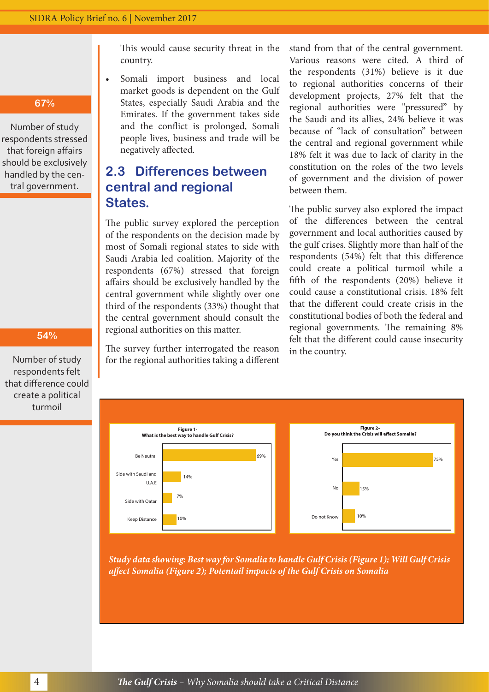**67%**

Number of study respondents stressed that foreign affairs should be exclusively handled by the central government.

#### **54%**

Number of study respondents felt that difference could create a political turmoil

This would cause security threat in the country.

Somali import business and local market goods is dependent on the Gulf States, especially Saudi Arabia and the Emirates. If the government takes side and the conflict is prolonged, Somali people lives, business and trade will be negatively affected.

## **2.3 Differences between central and regional States.**

The public survey explored the perception of the respondents on the decision made by most of Somali regional states to side with Saudi Arabia led coalition. Majority of the respondents (67%) stressed that foreign affairs should be exclusively handled by the central government while slightly over one third of the respondents (33%) thought that the central government should consult the regional authorities on this matter.

The survey further interrogated the reason for the regional authorities taking a different stand from that of the central government. Various reasons were cited. A third of the respondents (31%) believe is it due to regional authorities concerns of their development projects, 27% felt that the regional authorities were "pressured" by the Saudi and its allies, 24% believe it was because of "lack of consultation" between the central and regional government while 18% felt it was due to lack of clarity in the constitution on the roles of the two levels of government and the division of power between them.

The public survey also explored the impact of the differences between the central government and local authorities caused by the gulf crises. Slightly more than half of the respondents (54%) felt that this difference could create a political turmoil while a fifth of the respondents (20%) believe it could cause a constitutional crisis. 18% felt that the different could create crisis in the constitutional bodies of both the federal and regional governments. The remaining 8% felt that the different could cause insecurity in the country.



*Study data showing: Best way for Somalia to handle Gulf Crisis (Figure 1); Will Gulf Crisis affect Somalia (Figure 2); Potentail impacts of the Gulf Crisis on Somalia*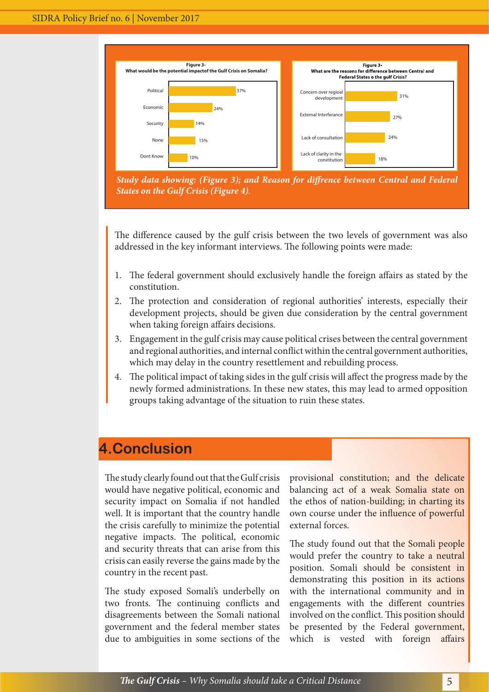

The difference caused by the gulf crisis between the two levels of government was also addressed in the key informant interviews. The following points were made:

- 1. The federal government should exclusively handle the foreign affairs as stated by the constitution.
- 2. The protection and consideration of regional authorities' interests, especially their development projects, should be given due consideration by the central government when taking foreign affairs decisions.
- 3. Engagement in the gulf crisis may cause political crises between the central government and regional authorities, and internal conflict within the central government authorities, which may delay in the country resettlement and rebuilding process.
- 4. The political impact of taking sides in the gulf crisis will affect the progress made by the newly formed administrations. In these new states, this may lead to armed opposition groups taking advantage of the situation to ruin these states.

## **4.Conclusion**

The study clearly found out that the Gulf crisis would have negative political, economic and security impact on Somalia if not handled well. It is important that the country handle the crisis carefully to minimize the potential negative impacts. The political, economic and security threats that can arise from this crisis can easily reverse the gains made by the country in the recent past.

The study exposed Somali's underbelly on two fronts. The continuing conflicts and disagreements between the Somali national government and the federal member states due to ambiguities in some sections of the

provisional constitution; and the delicate balancing act of a weak Somalia state on the ethos of nation-building; in charting its own course under the influence of powerful external forces.

The study found out that the Somali people would prefer the country to take a neutral position. Somali should be consistent in demonstrating this position in its actions with the international community and in engagements with the different countries involved on the conflict. This position should be presented by the Federal government, which is vested with foreign affairs